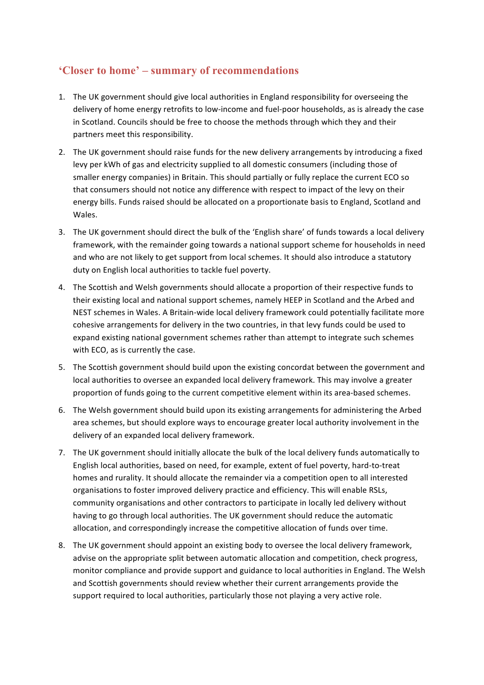## **'Closer to home' – summary of recommendations**

- 1. The UK government should give local authorities in England responsibility for overseeing the delivery of home energy retrofits to low-income and fuel-poor households, as is already the case in Scotland. Councils should be free to choose the methods through which they and their partners meet this responsibility.
- 2. The UK government should raise funds for the new delivery arrangements by introducing a fixed levy per kWh of gas and electricity supplied to all domestic consumers (including those of smaller energy companies) in Britain. This should partially or fully replace the current ECO so that consumers should not notice any difference with respect to impact of the levy on their energy bills. Funds raised should be allocated on a proportionate basis to England, Scotland and Wales.
- 3. The UK government should direct the bulk of the 'English share' of funds towards a local delivery framework, with the remainder going towards a national support scheme for households in need and who are not likely to get support from local schemes. It should also introduce a statutory duty on English local authorities to tackle fuel poverty.
- 4. The Scottish and Welsh governments should allocate a proportion of their respective funds to their existing local and national support schemes, namely HEEP in Scotland and the Arbed and NEST schemes in Wales. A Britain-wide local delivery framework could potentially facilitate more cohesive arrangements for delivery in the two countries, in that levy funds could be used to expand existing national government schemes rather than attempt to integrate such schemes with ECO, as is currently the case.
- 5. The Scottish government should build upon the existing concordat between the government and local authorities to oversee an expanded local delivery framework. This may involve a greater proportion of funds going to the current competitive element within its area-based schemes.
- 6. The Welsh government should build upon its existing arrangements for administering the Arbed area schemes, but should explore ways to encourage greater local authority involvement in the delivery of an expanded local delivery framework.
- 7. The UK government should initially allocate the bulk of the local delivery funds automatically to English local authorities, based on need, for example, extent of fuel poverty, hard-to-treat homes and rurality. It should allocate the remainder via a competition open to all interested organisations to foster improved delivery practice and efficiency. This will enable RSLs, community organisations and other contractors to participate in locally led delivery without having to go through local authorities. The UK government should reduce the automatic allocation, and correspondingly increase the competitive allocation of funds over time.
- 8. The UK government should appoint an existing body to oversee the local delivery framework, advise on the appropriate split between automatic allocation and competition, check progress, monitor compliance and provide support and guidance to local authorities in England. The Welsh and Scottish governments should review whether their current arrangements provide the support required to local authorities, particularly those not playing a very active role.